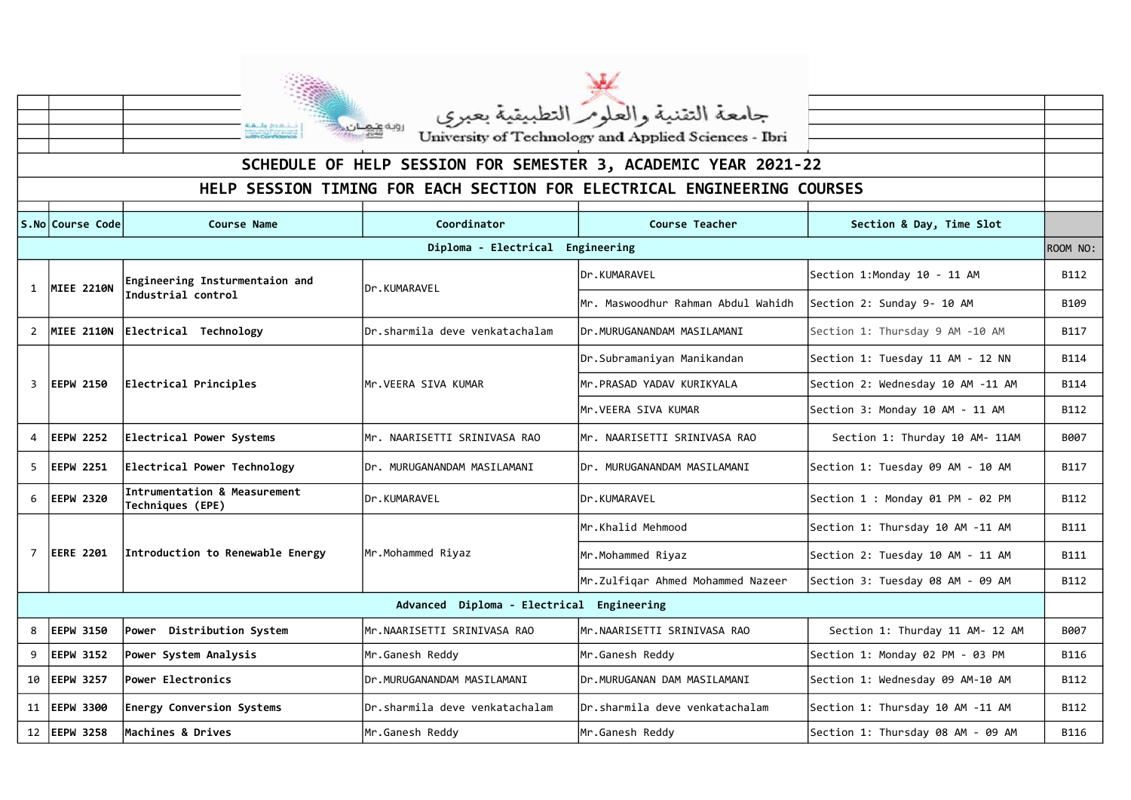

|                                                                         |                   | جامعة التقنية والعلوم التطبيقية بعبري<br>University of Technology and Applied Sciences - Ibri<br>روبه عهان |                                |                                                                |                                   |             |  |  |  |  |
|-------------------------------------------------------------------------|-------------------|------------------------------------------------------------------------------------------------------------|--------------------------------|----------------------------------------------------------------|-----------------------------------|-------------|--|--|--|--|
|                                                                         |                   |                                                                                                            |                                |                                                                |                                   |             |  |  |  |  |
|                                                                         |                   |                                                                                                            |                                | SCHEDULE OF HELP SESSION FOR SEMESTER 3, ACADEMIC YEAR 2021-22 |                                   |             |  |  |  |  |
| HELP SESSION TIMING FOR EACH SECTION FOR ELECTRICAL ENGINEERING COURSES |                   |                                                                                                            |                                |                                                                |                                   |             |  |  |  |  |
|                                                                         | S.No Course Code  | <b>Course Name</b>                                                                                         | Coordinator                    | <b>Course Teacher</b>                                          | Section & Day, Time Slot          |             |  |  |  |  |
|                                                                         |                   |                                                                                                            | Diploma - Electrical           | Engineering                                                    |                                   | ROOM NO:    |  |  |  |  |
| $\mathbf{1}$                                                            | <b>MIEE 2210N</b> | Engineering Insturmentaion and<br>Industrial control                                                       | Dr.KUMARAVEL                   | Dr.KUMARAVEL                                                   | Section 1:Monday 10 - 11 AM       | B112        |  |  |  |  |
|                                                                         |                   |                                                                                                            |                                | Mr. Maswoodhur Rahman Abdul Wahidh                             | Section 2: Sunday 9- 10 AM        | B109        |  |  |  |  |
| $\mathbf{2}$                                                            | <b>MIEE 2110N</b> | Electrical Technology                                                                                      | Dr.sharmila deve venkatachalam | IDr.MURUGANANDAM MASILAMANI                                    | Section 1: Thursday 9 AM -10 AM   | B117        |  |  |  |  |
| 3                                                                       | <b>EEPW 2150</b>  | Electrical Principles                                                                                      | Mr.VEERA SIVA KUMAR            | Dr.Subramaniyan Manikandan                                     | Section 1: Tuesday 11 AM - 12 NN  | <b>B114</b> |  |  |  |  |
|                                                                         |                   |                                                                                                            |                                | Mr.PRASAD YADAV KURIKYALA                                      | Section 2: Wednesday 10 AM -11 AM | <b>B114</b> |  |  |  |  |
|                                                                         |                   |                                                                                                            |                                | Mr.VEERA SIVA KUMAR                                            | Section 3: Monday 10 AM - 11 AM   | B112        |  |  |  |  |
| 4                                                                       | <b>EEPW 2252</b>  | Electrical Power Systems                                                                                   | Mr. NAARISETTI SRINIVASA RAO   | Mr. NAARISETTI SRINIVASA RAO                                   | Section 1: Thurday 10 AM- 11AM    | B007        |  |  |  |  |
| 5                                                                       | <b>EEPW 2251</b>  | Electrical Power Technology                                                                                | Dr. MURUGANANDAM MASILAMANI    | Dr. MURUGANANDAM MASILAMANI                                    | Section 1: Tuesday 09 AM - 10 AM  | B117        |  |  |  |  |
| 6                                                                       | <b>EEPW 2320</b>  | Intrumentation & Measurement<br>Techniques (EPE)                                                           | Dr.KUMARAVEL                   | Dr.KUMARAVEL                                                   | Section 1 : Monday 01 PM - 02 PM  | B112        |  |  |  |  |
| 7                                                                       | <b>EERE 2201</b>  | Introduction to Renewable Energy                                                                           | Mr.Mohammed Riyaz              | Mr.Khalid Mehmood                                              | Section 1: Thursday 10 AM -11 AM  | <b>B111</b> |  |  |  |  |
|                                                                         |                   |                                                                                                            |                                | Mr.Mohammed Riyaz                                              | Section 2: Tuesday 10 AM - 11 AM  | <b>B111</b> |  |  |  |  |
|                                                                         |                   |                                                                                                            |                                | Mr.Zulfigar Ahmed Mohammed Nazeer                              | Section 3: Tuesday 08 AM - 09 AM  | B112        |  |  |  |  |
| Advanced Diploma - Electrical<br>Engineering                            |                   |                                                                                                            |                                |                                                                |                                   |             |  |  |  |  |
| 8                                                                       | <b>EEPW 3150</b>  | Distribution System<br><b>Power</b>                                                                        | Mr.NAARISETTI SRINIVASA RAO    | Mr.NAARISETTI SRINIVASA RAO                                    | Section 1: Thurday 11 AM- 12 AM   | B007        |  |  |  |  |
| 9                                                                       | <b>EEPW 3152</b>  | Power System Analysis                                                                                      | Mr.Ganesh Reddy                | Mr.Ganesh Reddy                                                | Section 1: Monday 02 PM - 03 PM   | <b>B116</b> |  |  |  |  |
|                                                                         | 10   EEPW 3257    | Power Electronics                                                                                          | Dr.MURUGANANDAM MASILAMANI     | Dr.MURUGANAN DAM MASILAMANI                                    | Section 1: Wednesday 09 AM-10 AM  | B112        |  |  |  |  |
|                                                                         | 11   EEPW 3300    | <b>Energy Conversion Systems</b>                                                                           | Dr.sharmila deve venkatachalam | Dr.sharmila deve venkatachalam                                 | Section 1: Thursday 10 AM -11 AM  | B112        |  |  |  |  |
|                                                                         | 12 EEPW 3258      | Machines & Drives                                                                                          | Mr.Ganesh Reddy                | Mr.Ganesh Reddy                                                | Section 1: Thursday 08 AM - 09 AM | <b>B116</b> |  |  |  |  |